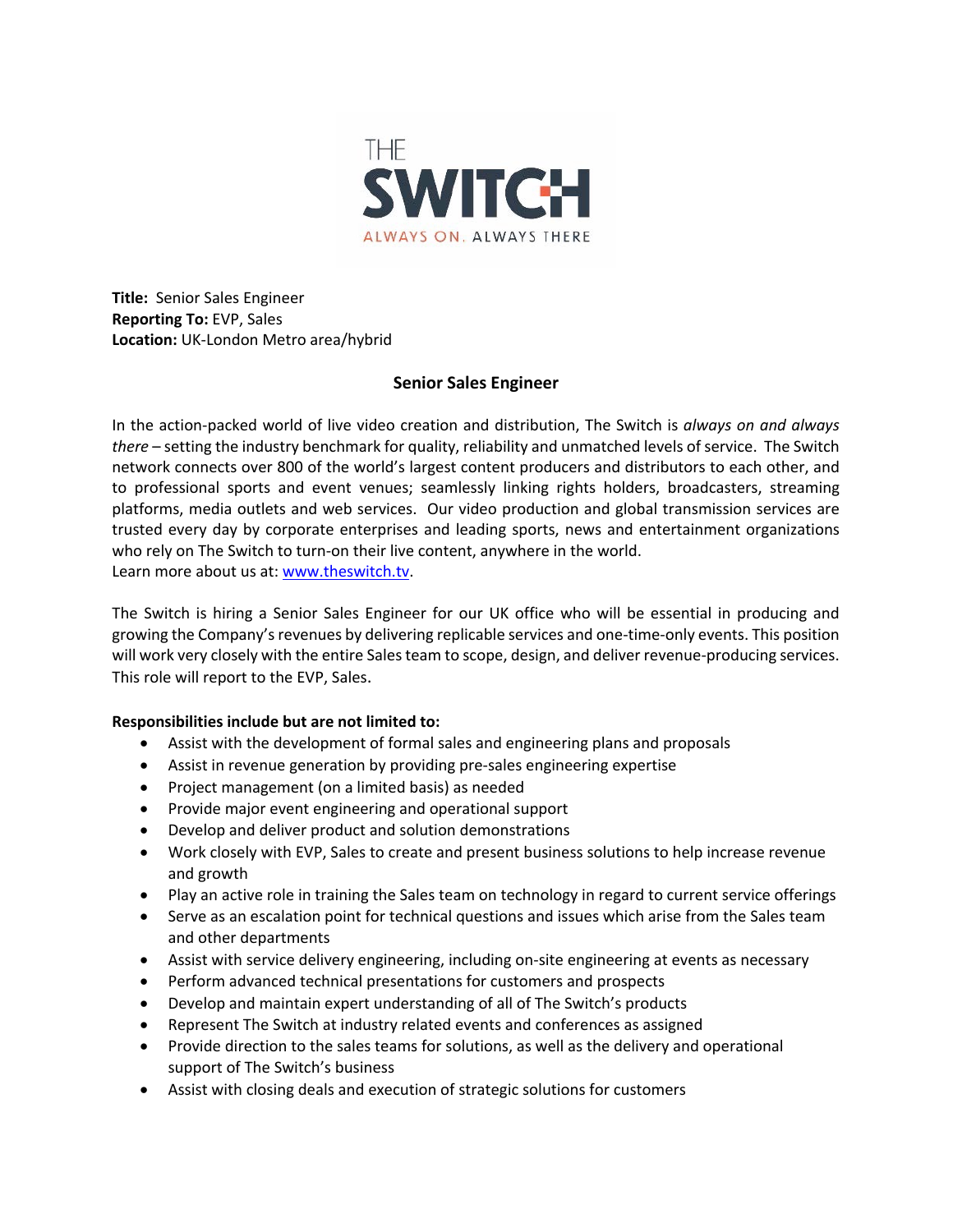

**Title:** Senior Sales Engineer **Reporting To:** EVP, Sales **Location:** UK-London Metro area/hybrid

## **Senior Sales Engineer**

In the action-packed world of live video creation and distribution, The Switch is *always on and always there* – setting the industry benchmark for quality, reliability and unmatched levels of service. The Switch network connects over 800 of the world's largest content producers and distributors to each other, and to professional sports and event venues; seamlessly linking rights holders, broadcasters, streaming platforms, media outlets and web services. Our video production and global transmission services are trusted every day by corporate enterprises and leading sports, news and entertainment organizations who rely on The Switch to turn-on their live content, anywhere in the world. Learn more about us at: www.theswitch.tv.

The Switch is hiring a Senior Sales Engineer for our UK office who will be essential in producing and growing the Company's revenues by delivering replicable services and one-time-only events. This position will work very closely with the entire Sales team to scope, design, and deliver revenue-producing services. This role will report to the EVP, Sales.

## **Responsibilities include but are not limited to:**

- Assist with the development of formal sales and engineering plans and proposals
- Assist in revenue generation by providing pre-sales engineering expertise
- Project management (on a limited basis) as needed
- Provide major event engineering and operational support
- Develop and deliver product and solution demonstrations
- Work closely with EVP, Sales to create and present business solutions to help increase revenue and growth
- Play an active role in training the Sales team on technology in regard to current service offerings
- Serve as an escalation point for technical questions and issues which arise from the Sales team and other departments
- Assist with service delivery engineering, including on-site engineering at events as necessary
- Perform advanced technical presentations for customers and prospects
- Develop and maintain expert understanding of all of The Switch's products
- Represent The Switch at industry related events and conferences as assigned
- Provide direction to the sales teams for solutions, as well as the delivery and operational support of The Switch's business
- Assist with closing deals and execution of strategic solutions for customers